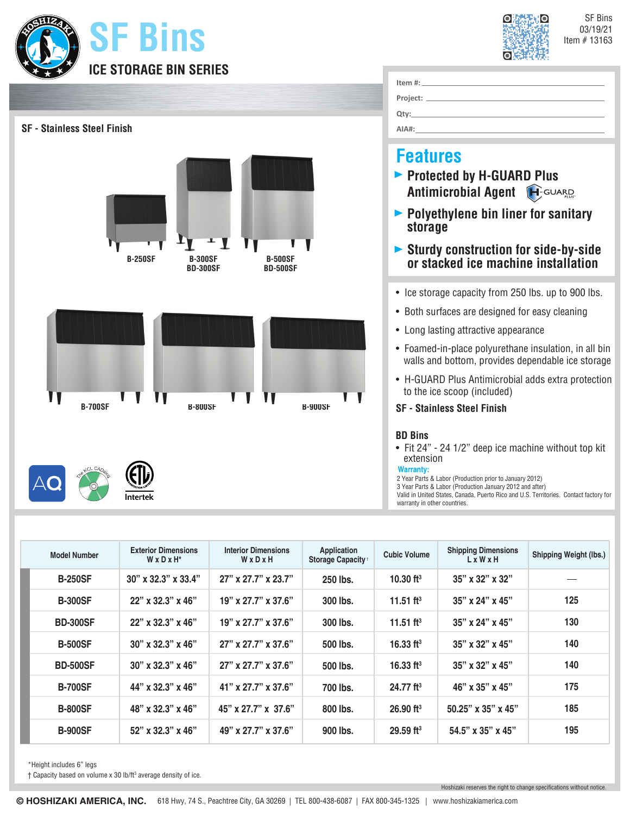



**Item #:**

| <b>SF</b> - Stainless Steel Finish                                                       | Project: _<br><u> 1980 - Johann Barn, mars an t-Amerikaansk kommunister (</u><br>Qty:<br>AIA#:                                                                                                                                                              |
|------------------------------------------------------------------------------------------|-------------------------------------------------------------------------------------------------------------------------------------------------------------------------------------------------------------------------------------------------------------|
| <b>B-250SF</b><br><b>B-300SF</b><br><b>B-500SF</b><br><b>BD-300SF</b><br><b>BD-500SF</b> | <b>Features</b><br>▶ Protected by H-GUARD Plus<br><b>Antimicrobial Agent H</b> -GUARD<br>▶ Polyethylene bin liner for sanitary<br>storage<br><b>Sturdy construction for side-by-side</b><br>or stacked ice machine installation                             |
|                                                                                          | • Ice storage capacity from 250 lbs. up to 900 lbs.<br>• Both surfaces are designed for easy cleaning<br>• Long lasting attractive appearance<br>• Foamed-in-place polyurethane insulation, in all bin<br>walls and bottom, provides dependable ice storage |
| <b>B-700SF</b><br><b>B-800SF</b><br><b>B-900SF</b>                                       | • H-GUARD Plus Antimicrobial adds extra protection<br>to the ice scoop (included)<br><b>SF - Stainless Steel Finish</b><br><b>BD Bins</b><br>• Fit 24" - 24 1/2" deep ice machine without top kit<br>extension<br><b>Warranty:</b>                          |
| Intertek                                                                                 | 2 Year Parts & Labor (Production prior to January 2012)<br>3 Year Parts & Labor (Production January 2012 and after)<br>Valid in United States, Canada, Puerto Rico and U.S. Territories. Contact factory for<br>warranty in other countries.                |

| <b>Model Number</b> | <b>Exterior Dimensions</b><br>$W \times D \times H^*$ | <b>Interior Dimensions</b><br>WxDxH | Application<br>Storage Capacity <sup>+</sup> | <b>Cubic Volume</b>     | <b>Shipping Dimensions</b><br>LxWxH | <b>Shipping Weight (lbs.)</b> |
|---------------------|-------------------------------------------------------|-------------------------------------|----------------------------------------------|-------------------------|-------------------------------------|-------------------------------|
| <b>B-250SF</b>      | $30''$ x $32.3''$ x $33.4''$                          | 27" x 27.7" x 23.7"                 | 250 lbs.                                     | 10.30 $ft3$             | 35" x 32" x 32"                     |                               |
| <b>B-300SF</b>      | 22" x 32.3" x 46"                                     | $19"$ x 27.7" x 37.6"               | 300 lbs.                                     | 11.51 ft <sup>3</sup>   | $35"$ x 24" x 45"                   | 125                           |
| <b>BD-300SF</b>     | $22"$ x 32.3" x 46"                                   | $19"$ x 27.7" x 37.6"               | 300 lbs.                                     | 11.51 ft <sup>3</sup>   | $35"$ x 24" x 45"                   | 130                           |
| <b>B-500SF</b>      | $30''$ x $32.3''$ x $46''$                            | $27"$ x $27.7"$ x $37.6"$           | 500 lbs.                                     | 16.33 $ft3$             | 35" x 32" x 45"                     | 140                           |
| <b>BD-500SF</b>     | $30''$ x $32.3''$ x $46''$                            | $27"$ x $27.7"$ x $37.6"$           | 500 lbs.                                     | 16.33 $ft3$             | $35"$ x $32"$ x $45"$               | 140                           |
| <b>B-700SF</b>      | 44" x 32.3" x 46"                                     | $41"$ x 27.7" x 37.6"               | 700 lbs.                                     | $24.77$ ft <sup>3</sup> | 46" x 35" x 45"                     | 175                           |
| <b>B-800SF</b>      | 48" x 32.3" x 46"                                     | 45" x 27.7" x 37.6"                 | 800 lbs.                                     | $26.90$ ft <sup>3</sup> | $50.25$ " x 35" x 45"               | 185                           |
| <b>B-900SF</b>      | 52" x 32.3" x 46"                                     | 49" x 27.7" x 37.6"                 | 900 lbs.                                     | $29.59$ ft <sup>3</sup> | 54.5" x 35" x 45"                   | 195                           |

\*Height includes 6" legs

† Capacity based on volume x 30 lb/ft3 average density of ice.

Hoshizaki reserves the right to change specifications without notice.